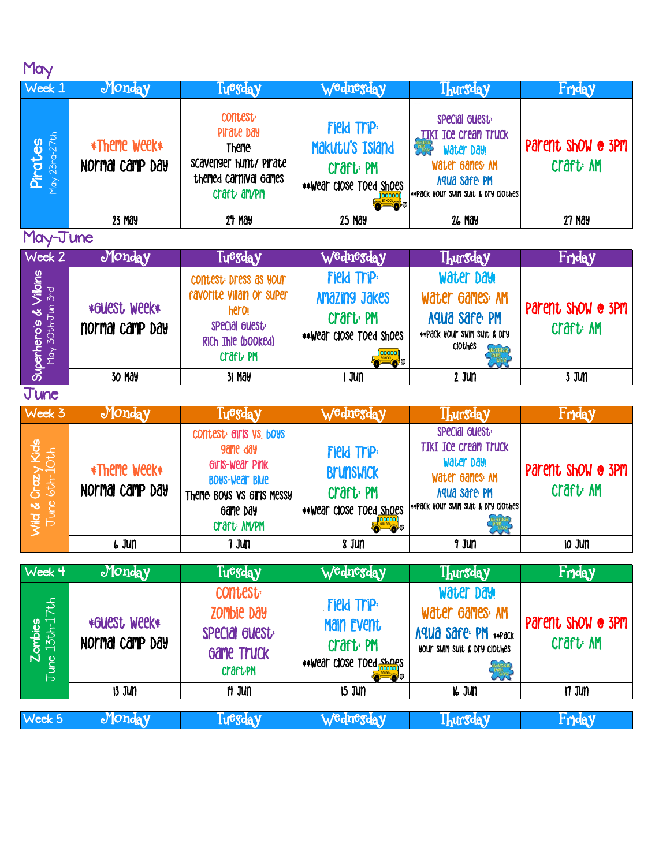| May                                             |                                 |                                                                                                                                         |                                                                                                          |                                                                                                                                         |                                          |  |
|-------------------------------------------------|---------------------------------|-----------------------------------------------------------------------------------------------------------------------------------------|----------------------------------------------------------------------------------------------------------|-----------------------------------------------------------------------------------------------------------------------------------------|------------------------------------------|--|
| Week 1                                          | Monday                          | Tuesday                                                                                                                                 | Wednesday                                                                                                | <b>Thursday</b>                                                                                                                         | Friday                                   |  |
| May 23rd-27th<br>Pirates                        | *Theme week*<br>Normal camp Day | <b>CONTEST:</b><br>Pirate Day<br>Theme:<br>scavenger hunt/ Pirate<br>themed carnival games<br>craft: am/pm                              | Field Trip:<br>Makutu's Island<br>Craft <sub></sub> : PM<br>** Wear close Toed Shoes<br>o c              | special guest:<br><b>IIKI ICE Cream Truck</b><br>Water Day!<br>Water Games: AM<br>Aqua safe PM<br>**PACK YOU'T SWIM SUIT & DIY ClOTHES  | Parent show @ 3PM<br>Craft: AM           |  |
|                                                 | 23 May                          | 24 May                                                                                                                                  | <b>25 May</b>                                                                                            | <b>26 May</b>                                                                                                                           | <b>27 May</b>                            |  |
| May-June                                        |                                 |                                                                                                                                         |                                                                                                          |                                                                                                                                         |                                          |  |
| Week 2                                          | Monday                          | Tuegday                                                                                                                                 | Wednesday                                                                                                | <b>Thursday</b>                                                                                                                         | Friday                                   |  |
| $Yillains$<br>May 30th-Jun 3rd<br>Superhero's & | *GUESt WEEK*<br>normal camp day | contest: Dress as your<br>favorite villain or super<br>hero<br>special Guest:<br>RiCh Ihle (booked)<br><b>Craft</b> PM                  | <b>Field Trip:</b><br>Amazing Jakes<br>Craft <sub></sub> : PM<br>**Wear close Toed Shoes<br><b>ECODE</b> | Water Day!<br>Water Games: AM<br>Aqua safe: PM<br>**Pack your swim suit & Dry<br><b>ClOthes</b><br><b>UARTER</b>                        | Parent show @ 3PM<br>Craft <sub></sub> M |  |
|                                                 | 30 May                          | 31 May                                                                                                                                  | I Jun                                                                                                    | $2$ Jun                                                                                                                                 | 3 Jun                                    |  |
| June                                            |                                 |                                                                                                                                         |                                                                                                          |                                                                                                                                         |                                          |  |
| Week 3                                          | Monday                          | Tuesday                                                                                                                                 | W <sup>e</sup> dn <sup>eg</sup> day                                                                      | <b>Ihursday</b>                                                                                                                         | Friday                                   |  |
| Crazy Kids<br>$6th-10th$<br>$J$ une<br>Wild &   | *Theme week*<br>Normal camp Day | contest: GIMS VS. boys<br>game day<br>Girls-wear Pink<br><b>BOYS-Wear Blue</b><br>Theme: BOYS VS GIMS MESSY<br>Game Day<br>Craft: AM/PM | <b>Field Trip:</b><br><b>Brunswick</b><br>Craft <sub></sub> : PM<br>** Wear close Toed shoes             | special Guest:<br><b>TIKI ICE Cream Truck</b><br>Water Day!<br>Water Games: AM<br>Aqua safe: PM<br>** Pack your swim suit & Dry clothes | Parent show @ 3PM<br>Craft: AM           |  |
|                                                 | $6J$ un                         | 7 Jun                                                                                                                                   | 8 Jun                                                                                                    | 9 Jun                                                                                                                                   | IO JUN                                   |  |
| Week 4                                          | Monday                          | Tuesday                                                                                                                                 | Wednesday                                                                                                |                                                                                                                                         | Friday                                   |  |
|                                                 |                                 |                                                                                                                                         |                                                                                                          | <b>Thursday</b>                                                                                                                         |                                          |  |
| Zombies<br>June 13th-17th                       | *GUESt WEEK*<br>Normal camp Day | <b>CONTEST:</b><br>ZOMbie Day<br>SPecial Guest:<br><b>Game Truck</b><br><b>Craft:PM</b>                                                 | Field Trip:<br>Main Event<br>Craft <sub></sub> PM<br>** Wear close Toed shoes<br>$\bullet$               | Water Day!<br>Water Games: AM<br>Aqua safe: PM **Pack<br>your swim suit & Dry clothes<br><b>GREEK</b>                                   | Parent show @ 3PM<br>Craft: AM           |  |
|                                                 | <b>13 Jun</b>                   | It Jun                                                                                                                                  | <b>15 JUN</b>                                                                                            | <b>16 JUN</b>                                                                                                                           | $17$ Jun                                 |  |
| Week 5                                          | Monday                          | Tuesday                                                                                                                                 | Wednesday                                                                                                | <b>Thursday</b>                                                                                                                         | Friday                                   |  |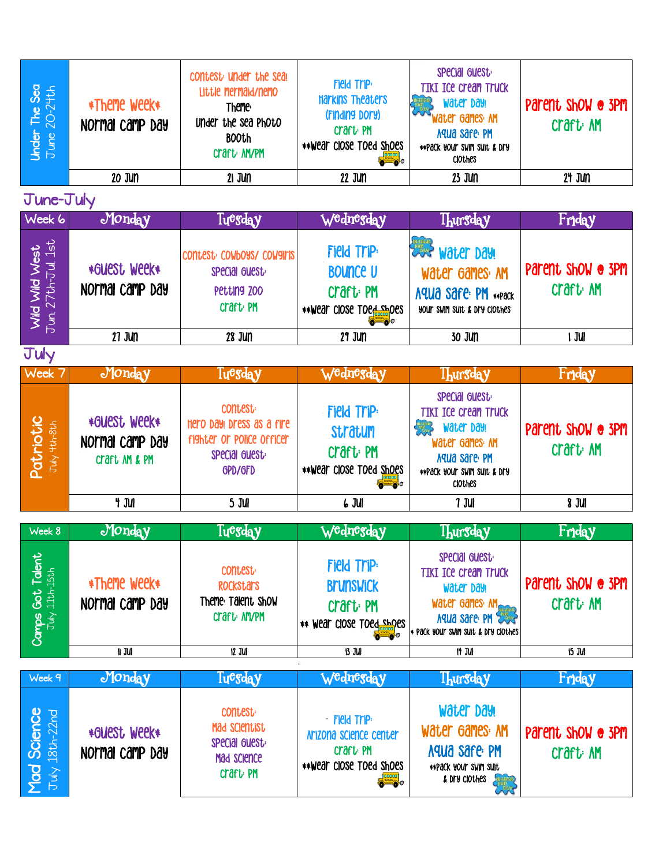| The Sea<br>$20-2$ <sup>+</sup> th<br><b>Under</b><br>June | *Theme week*<br>Normal camp Day | contest under the seal<br>Little mermaid/nemo<br><b>Theme:</b><br>Under the sea Photo<br><b>BOOth</b><br>Craft MYPM | <b>Field Trip:</b><br><b>Harkins Theaters</b><br>(Finding Dory)<br><b>Craft</b> PM<br>**Wear close Toed Shoes<br>-00 | SPecial Guest<br><b>TIKI ICE Cream Truck</b><br>Water Day!<br>Water Games: AM<br>Aqua safe: PM<br>**PACK YOUR SWIM SUIT & DRY<br><b>CIOLHES</b> | Parent show @ 3PM<br>Craft: AM |
|-----------------------------------------------------------|---------------------------------|---------------------------------------------------------------------------------------------------------------------|----------------------------------------------------------------------------------------------------------------------|-------------------------------------------------------------------------------------------------------------------------------------------------|--------------------------------|
|                                                           | 20 JUN                          | $21$ Jun                                                                                                            | 22 Jun                                                                                                               | 23 JUN                                                                                                                                          | 24 JUN                         |

June-July

| Week 6                                          | Monday                          | Tu <sup>egd</sup> ay                                                           | W <sup>e</sup> dn <sup>eg</sup> day                                                             | <b>Thursday</b>                                                                                   | Friday                       |
|-------------------------------------------------|---------------------------------|--------------------------------------------------------------------------------|-------------------------------------------------------------------------------------------------|---------------------------------------------------------------------------------------------------|------------------------------|
| Wild Wild West<br><sub>Fun. 27th-Jul.</sub> 1st | *GUESt WEEK*<br>Normal camp Day | CONTEST: COMPOAS/ COMBILIS<br>SPecial Guest:<br>Petting ZOO<br><b>Craft</b> PM | <b>Field Trip:</b><br><b>BOUNCE U</b><br>Craft PM<br>**Wear close toed shoes<br><b>bill p</b> o | <b>Also water Day!</b><br>Water Games: AM<br>Aqua safe: PM **Pack<br>YOUT SWIM SUIT & Dry Clothes | Parent show @ 3PM<br>Craft M |
|                                                 | 27 Jun                          | 28 JUN                                                                         | 29 JUN                                                                                          | 30 JUN                                                                                            | JUI                          |
| July                                            |                                 |                                                                                |                                                                                                 |                                                                                                   |                              |

| Week 7                                           | Monday                                           | Tuesday                                                                                               | W <sup>e</sup> dn <sup>eg</sup> day                                         | <b>Thursday</b>                                                                                                                         | Friday                        |
|--------------------------------------------------|--------------------------------------------------|-------------------------------------------------------------------------------------------------------|-----------------------------------------------------------------------------|-----------------------------------------------------------------------------------------------------------------------------------------|-------------------------------|
| riotic<br>Hth-8th<br><b>DOL</b><br>$\frac{1}{2}$ | *GUESt WEEK*<br>Normal camp Day<br>Craft AM & PM | <b>CONTEST:</b><br>Hero Day! Dress as a fire<br>fighter or police officer<br>SPecial Guest<br>GPD/GFD | <b>Field Trip:</b><br><b>Stratum</b><br>Craft PM<br>**Wear close toed shoes | SPecial Guest<br><b>TIKI ICE Cream Truck</b><br>Water Day!<br>Water Games: AM<br>Aqua safe PM<br>**PACK YOUR SWIM SUIT & DRY<br>ClOthes | Parent show @ 3PM<br>Craft MM |
|                                                  | t jui                                            | 5 JUI                                                                                                 | 6 JUI                                                                       | 7 JUI                                                                                                                                   | 8 JUI                         |

| Week 8                                     | Monday                          | Tu <sup>e</sup> sday                                                      | W <sup>e</sup> dn <sup>eg</sup> day                                               | <b>Ihursday</b>                                                                                                                     | Friday                         |
|--------------------------------------------|---------------------------------|---------------------------------------------------------------------------|-----------------------------------------------------------------------------------|-------------------------------------------------------------------------------------------------------------------------------------|--------------------------------|
| dent<br>id<br>11th<br>$\frac{1}{\sqrt{2}}$ | *Theme week*<br>Normal camp Day | <b>CONTEST:</b><br><b>ROCKStars</b><br>Theme: Talent Show<br>Craft: AM/PM | <b>Field Trip:</b><br><b>Brunswick</b><br>Craft PM<br>wear close toed supes<br>44 | SPecial Guest<br><b>TIKI ICE Cream Truck</b><br>Water Day!<br>Water Games: M<br>Aqua sare PM<br>* Pack your swim suit & Dry clothes | Parent show @ 3PM<br>Craft: AM |
|                                            | n Jul                           | 12 JUI                                                                    | 13 JUI                                                                            | it jui                                                                                                                              | 15 JUI                         |

| Week 9                                 | Monday                          | Tuegday                                                                                    | W <sup>e</sup> dnegday                                                                                           | <b>Ihursday</b>                                                                          | Friday                         |
|----------------------------------------|---------------------------------|--------------------------------------------------------------------------------------------|------------------------------------------------------------------------------------------------------------------|------------------------------------------------------------------------------------------|--------------------------------|
| Science<br>18th-22nd<br>$\overline{M}$ | *GUESt WEEK*<br>Normal camp Day | <b>CONTEST:</b><br>Mad Scientist<br>special guest.<br>Mad Science<br>craft <sub>'</sub> PM | - Field Trip:<br>Arizona science center<br>Craft <sub>'</sub> PM<br>**Wear close Toed Shoes<br><b>DESIRED CO</b> | Water Day!<br>Water Games: AM<br>Aqua safe: PM<br>**Pack your swim suit<br>& Dry clothes | Parent show @ 3PM<br>Craft: AM |